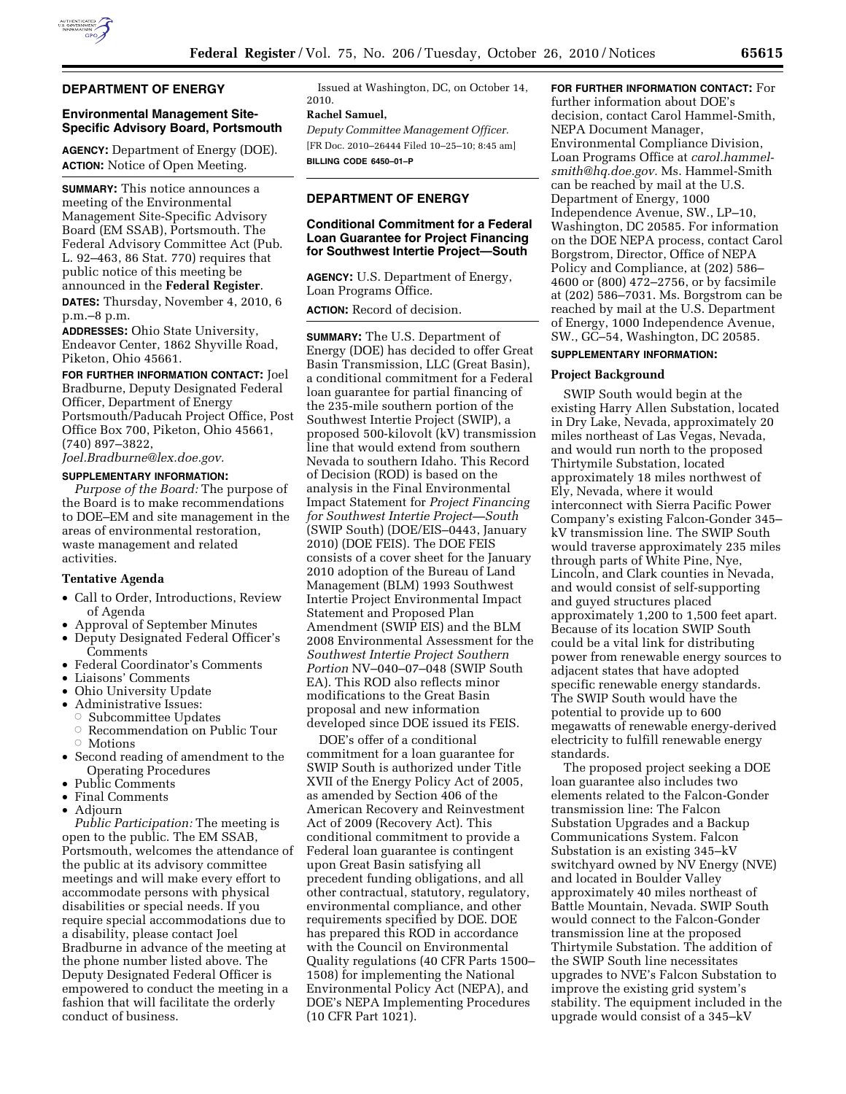

## **DEPARTMENT OF ENERGY**

## **Environmental Management Site-Specific Advisory Board, Portsmouth**

**AGENCY:** Department of Energy (DOE). **ACTION:** Notice of Open Meeting.

**SUMMARY:** This notice announces a meeting of the Environmental Management Site-Specific Advisory Board (EM SSAB), Portsmouth. The Federal Advisory Committee Act (Pub. L. 92–463, 86 Stat. 770) requires that public notice of this meeting be announced in the **Federal Register**. **DATES:** Thursday, November 4, 2010, 6 p.m.–8 p.m.

**ADDRESSES:** Ohio State University, Endeavor Center, 1862 Shyville Road, Piketon, Ohio 45661.

**FOR FURTHER INFORMATION CONTACT:** Joel Bradburne, Deputy Designated Federal Officer, Department of Energy Portsmouth/Paducah Project Office, Post Office Box 700, Piketon, Ohio 45661, (740) 897–3822,

*[Joel.Bradburne@lex.doe.gov.](mailto:Joel.Bradburne@lex.doe.gov)* 

#### **SUPPLEMENTARY INFORMATION:**

*Purpose of the Board:* The purpose of the Board is to make recommendations to DOE–EM and site management in the areas of environmental restoration, waste management and related activities.

## **Tentative Agenda**

- Call to Order, Introductions, Review of Agenda
- Approval of September Minutes
- Deputy Designated Federal Officer's Comments
- Federal Coordinator's Comments
- Liaisons' Comments
- Ohio University Update
- Administrative Issues:
- ÆSubcommittee Updates
- $\circ$ Recommendation on Public Tour
- ÆMotions
- Second reading of amendment to the Operating Procedures
- Public Comments
- Final Comments
- Adjourn

*Public Participation:* The meeting is open to the public. The EM SSAB, Portsmouth, welcomes the attendance of the public at its advisory committee meetings and will make every effort to accommodate persons with physical disabilities or special needs. If you require special accommodations due to a disability, please contact Joel Bradburne in advance of the meeting at the phone number listed above. The Deputy Designated Federal Officer is empowered to conduct the meeting in a fashion that will facilitate the orderly conduct of business.

Issued at Washington, DC, on October 14, 2010.

## **Rachel Samuel,**

*Deputy Committee Management Officer.*  [FR Doc. 2010–26444 Filed 10–25–10; 8:45 am] **BILLING CODE 6450–01–P** 

## **DEPARTMENT OF ENERGY**

## **Conditional Commitment for a Federal Loan Guarantee for Project Financing for Southwest Intertie Project—South**

**AGENCY:** U.S. Department of Energy, Loan Programs Office.

**ACTION:** Record of decision.

**SUMMARY:** The U.S. Department of Energy (DOE) has decided to offer Great Basin Transmission, LLC (Great Basin), a conditional commitment for a Federal loan guarantee for partial financing of the 235-mile southern portion of the Southwest Intertie Project (SWIP), a proposed 500-kilovolt (kV) transmission line that would extend from southern Nevada to southern Idaho. This Record of Decision (ROD) is based on the analysis in the Final Environmental Impact Statement for *Project Financing for Southwest Intertie Project—South*  (SWIP South) (DOE/EIS–0443, January 2010) (DOE FEIS). The DOE FEIS consists of a cover sheet for the January 2010 adoption of the Bureau of Land Management (BLM) 1993 Southwest Intertie Project Environmental Impact Statement and Proposed Plan Amendment (SWIP EIS) and the BLM 2008 Environmental Assessment for the *Southwest Intertie Project Southern Portion* NV–040–07–048 (SWIP South EA). This ROD also reflects minor modifications to the Great Basin proposal and new information developed since DOE issued its FEIS.

DOE's offer of a conditional commitment for a loan guarantee for SWIP South is authorized under Title XVII of the Energy Policy Act of 2005, as amended by Section 406 of the American Recovery and Reinvestment Act of 2009 (Recovery Act). This conditional commitment to provide a Federal loan guarantee is contingent upon Great Basin satisfying all precedent funding obligations, and all other contractual, statutory, regulatory, environmental compliance, and other requirements specified by DOE. DOE has prepared this ROD in accordance with the Council on Environmental Quality regulations (40 CFR Parts 1500– 1508) for implementing the National Environmental Policy Act (NEPA), and DOE's NEPA Implementing Procedures (10 CFR Part 1021).

# **FOR FURTHER INFORMATION CONTACT:** For

further information about DOE's decision, contact Carol Hammel-Smith, NEPA Document Manager, Environmental Compliance Division, Loan Programs Office at *[carol.hammel](mailto:carol.hammel-smith@hq.doe.gov)[smith@hq.doe.gov.](mailto:carol.hammel-smith@hq.doe.gov)* Ms. Hammel-Smith can be reached by mail at the U.S. Department of Energy, 1000 Independence Avenue, SW., LP–10, Washington, DC 20585. For information on the DOE NEPA process, contact Carol Borgstrom, Director, Office of NEPA Policy and Compliance, at (202) 586– 4600 or (800) 472–2756, or by facsimile at (202) 586–7031. Ms. Borgstrom can be reached by mail at the U.S. Department of Energy, 1000 Independence Avenue, SW., GC–54, Washington, DC 20585.

## **SUPPLEMENTARY INFORMATION:**

#### **Project Background**

SWIP South would begin at the existing Harry Allen Substation, located in Dry Lake, Nevada, approximately 20 miles northeast of Las Vegas, Nevada, and would run north to the proposed Thirtymile Substation, located approximately 18 miles northwest of Ely, Nevada, where it would interconnect with Sierra Pacific Power Company's existing Falcon-Gonder 345– kV transmission line. The SWIP South would traverse approximately 235 miles through parts of White Pine, Nye, Lincoln, and Clark counties in Nevada, and would consist of self-supporting and guyed structures placed approximately 1,200 to 1,500 feet apart. Because of its location SWIP South could be a vital link for distributing power from renewable energy sources to adjacent states that have adopted specific renewable energy standards. The SWIP South would have the potential to provide up to 600 megawatts of renewable energy-derived electricity to fulfill renewable energy standards.

The proposed project seeking a DOE loan guarantee also includes two elements related to the Falcon-Gonder transmission line: The Falcon Substation Upgrades and a Backup Communications System. Falcon Substation is an existing 345–kV switchyard owned by NV Energy (NVE) and located in Boulder Valley approximately 40 miles northeast of Battle Mountain, Nevada. SWIP South would connect to the Falcon-Gonder transmission line at the proposed Thirtymile Substation. The addition of the SWIP South line necessitates upgrades to NVE's Falcon Substation to improve the existing grid system's stability. The equipment included in the upgrade would consist of a 345–kV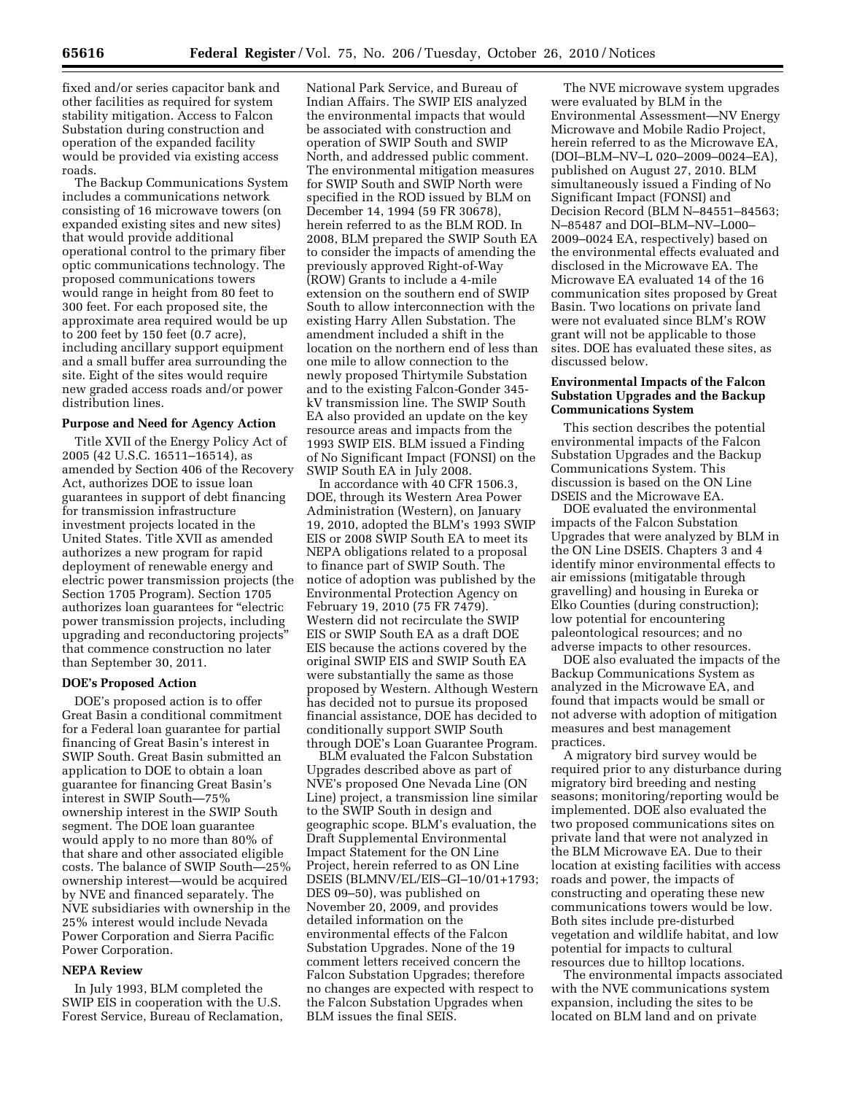fixed and/or series capacitor bank and other facilities as required for system stability mitigation. Access to Falcon Substation during construction and operation of the expanded facility would be provided via existing access roads.

The Backup Communications System includes a communications network consisting of 16 microwave towers (on expanded existing sites and new sites) that would provide additional operational control to the primary fiber optic communications technology. The proposed communications towers would range in height from 80 feet to 300 feet. For each proposed site, the approximate area required would be up to 200 feet by 150 feet (0.7 acre), including ancillary support equipment and a small buffer area surrounding the site. Eight of the sites would require new graded access roads and/or power distribution lines.

## **Purpose and Need for Agency Action**

Title XVII of the Energy Policy Act of 2005 (42 U.S.C. 16511–16514), as amended by Section 406 of the Recovery Act, authorizes DOE to issue loan guarantees in support of debt financing for transmission infrastructure investment projects located in the United States. Title XVII as amended authorizes a new program for rapid deployment of renewable energy and electric power transmission projects (the Section 1705 Program). Section 1705 authorizes loan guarantees for ''electric power transmission projects, including upgrading and reconductoring projects'' that commence construction no later than September 30, 2011.

#### **DOE's Proposed Action**

DOE's proposed action is to offer Great Basin a conditional commitment for a Federal loan guarantee for partial financing of Great Basin's interest in SWIP South. Great Basin submitted an application to DOE to obtain a loan guarantee for financing Great Basin's interest in SWIP South—75% ownership interest in the SWIP South segment. The DOE loan guarantee would apply to no more than 80% of that share and other associated eligible costs. The balance of SWIP South—25% ownership interest—would be acquired by NVE and financed separately. The NVE subsidiaries with ownership in the 25% interest would include Nevada Power Corporation and Sierra Pacific Power Corporation.

## **NEPA Review**

In July 1993, BLM completed the SWIP EIS in cooperation with the U.S. Forest Service, Bureau of Reclamation,

National Park Service, and Bureau of Indian Affairs. The SWIP EIS analyzed the environmental impacts that would be associated with construction and operation of SWIP South and SWIP North, and addressed public comment. The environmental mitigation measures for SWIP South and SWIP North were specified in the ROD issued by BLM on December 14, 1994 (59 FR 30678), herein referred to as the BLM ROD. In 2008, BLM prepared the SWIP South EA to consider the impacts of amending the previously approved Right-of-Way (ROW) Grants to include a 4-mile extension on the southern end of SWIP South to allow interconnection with the existing Harry Allen Substation. The amendment included a shift in the location on the northern end of less than one mile to allow connection to the newly proposed Thirtymile Substation and to the existing Falcon-Gonder 345 kV transmission line. The SWIP South EA also provided an update on the key resource areas and impacts from the 1993 SWIP EIS. BLM issued a Finding of No Significant Impact (FONSI) on the SWIP South EA in July 2008.

In accordance with 40 CFR 1506.3, DOE, through its Western Area Power Administration (Western), on January 19, 2010, adopted the BLM's 1993 SWIP EIS or 2008 SWIP South EA to meet its NEPA obligations related to a proposal to finance part of SWIP South. The notice of adoption was published by the Environmental Protection Agency on February 19, 2010 (75 FR 7479). Western did not recirculate the SWIP EIS or SWIP South EA as a draft DOE EIS because the actions covered by the original SWIP EIS and SWIP South EA were substantially the same as those proposed by Western. Although Western has decided not to pursue its proposed financial assistance, DOE has decided to conditionally support SWIP South through DOE's Loan Guarantee Program.

BLM evaluated the Falcon Substation Upgrades described above as part of NVE's proposed One Nevada Line (ON Line) project, a transmission line similar to the SWIP South in design and geographic scope. BLM's evaluation, the Draft Supplemental Environmental Impact Statement for the ON Line Project, herein referred to as ON Line DSEIS (BLMNV/EL/EIS–GI–10/01+1793; DES 09–50), was published on November 20, 2009, and provides detailed information on the environmental effects of the Falcon Substation Upgrades. None of the 19 comment letters received concern the Falcon Substation Upgrades; therefore no changes are expected with respect to the Falcon Substation Upgrades when BLM issues the final SEIS.

The NVE microwave system upgrades were evaluated by BLM in the Environmental Assessment—NV Energy Microwave and Mobile Radio Project, herein referred to as the Microwave EA, (DOI–BLM–NV–L 020–2009–0024–EA), published on August 27, 2010. BLM simultaneously issued a Finding of No Significant Impact (FONSI) and Decision Record (BLM N–84551–84563; N–85487 and DOI–BLM–NV–L000– 2009–0024 EA, respectively) based on the environmental effects evaluated and disclosed in the Microwave EA. The Microwave EA evaluated 14 of the 16 communication sites proposed by Great Basin. Two locations on private land were not evaluated since BLM's ROW grant will not be applicable to those sites. DOE has evaluated these sites, as discussed below.

## **Environmental Impacts of the Falcon Substation Upgrades and the Backup Communications System**

This section describes the potential environmental impacts of the Falcon Substation Upgrades and the Backup Communications System. This discussion is based on the ON Line DSEIS and the Microwave EA.

DOE evaluated the environmental impacts of the Falcon Substation Upgrades that were analyzed by BLM in the ON Line DSEIS. Chapters 3 and 4 identify minor environmental effects to air emissions (mitigatable through gravelling) and housing in Eureka or Elko Counties (during construction); low potential for encountering paleontological resources; and no adverse impacts to other resources.

DOE also evaluated the impacts of the Backup Communications System as analyzed in the Microwave EA, and found that impacts would be small or not adverse with adoption of mitigation measures and best management practices.

A migratory bird survey would be required prior to any disturbance during migratory bird breeding and nesting seasons; monitoring/reporting would be implemented. DOE also evaluated the two proposed communications sites on private land that were not analyzed in the BLM Microwave EA. Due to their location at existing facilities with access roads and power, the impacts of constructing and operating these new communications towers would be low. Both sites include pre-disturbed vegetation and wildlife habitat, and low potential for impacts to cultural resources due to hilltop locations.

The environmental impacts associated with the NVE communications system expansion, including the sites to be located on BLM land and on private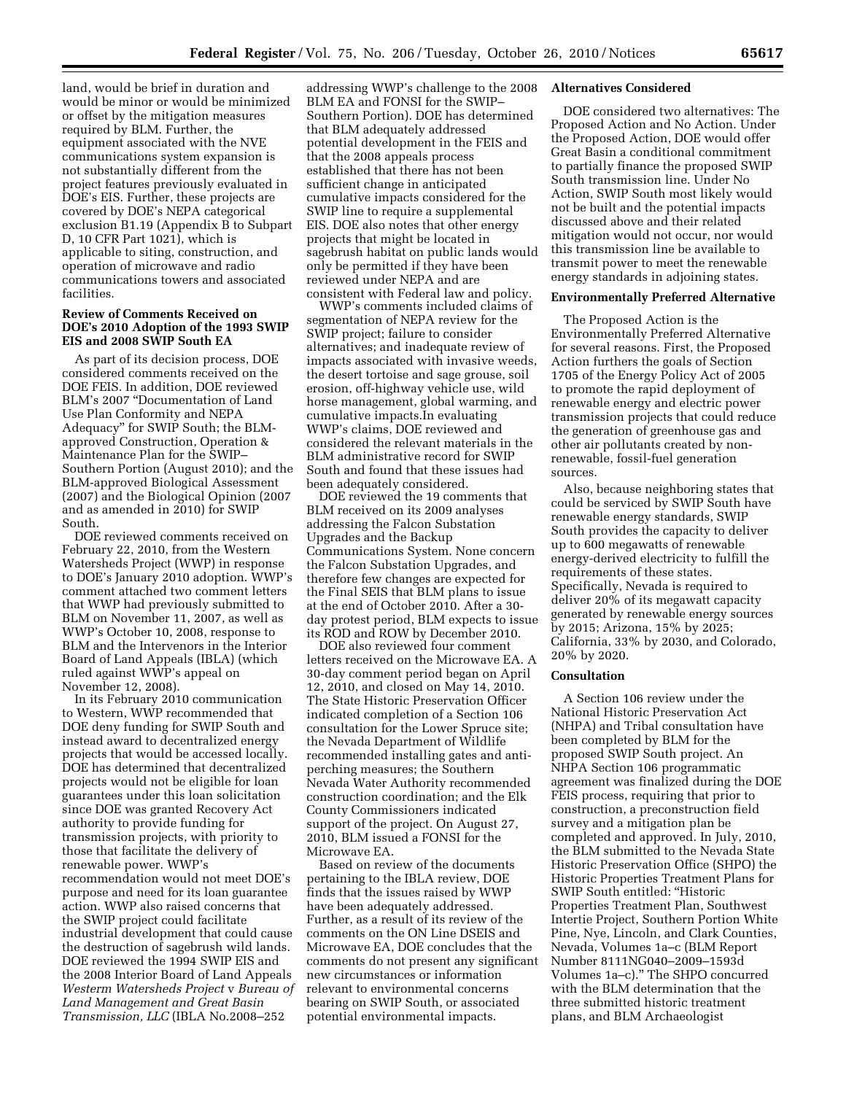land, would be brief in duration and would be minor or would be minimized or offset by the mitigation measures required by BLM. Further, the equipment associated with the NVE communications system expansion is not substantially different from the project features previously evaluated in DOE's EIS. Further, these projects are covered by DOE's NEPA categorical exclusion B1.19 (Appendix B to Subpart D, 10 CFR Part 1021), which is applicable to siting, construction, and operation of microwave and radio communications towers and associated facilities.

## **Review of Comments Received on DOE's 2010 Adoption of the 1993 SWIP EIS and 2008 SWIP South EA**

As part of its decision process, DOE considered comments received on the DOE FEIS. In addition, DOE reviewed BLM's 2007 ''Documentation of Land Use Plan Conformity and NEPA Adequacy'' for SWIP South; the BLMapproved Construction, Operation & Maintenance Plan for the SWIP– Southern Portion (August 2010); and the BLM-approved Biological Assessment (2007) and the Biological Opinion (2007 and as amended in 2010) for SWIP South.

DOE reviewed comments received on February 22, 2010, from the Western Watersheds Project (WWP) in response to DOE's January 2010 adoption. WWP's comment attached two comment letters that WWP had previously submitted to BLM on November 11, 2007, as well as WWP's October 10, 2008, response to BLM and the Intervenors in the Interior Board of Land Appeals (IBLA) (which ruled against WWP's appeal on November 12, 2008).

In its February 2010 communication to Western, WWP recommended that DOE deny funding for SWIP South and instead award to decentralized energy projects that would be accessed locally. DOE has determined that decentralized projects would not be eligible for loan guarantees under this loan solicitation since DOE was granted Recovery Act authority to provide funding for transmission projects, with priority to those that facilitate the delivery of renewable power. WWP's recommendation would not meet DOE's purpose and need for its loan guarantee action. WWP also raised concerns that the SWIP project could facilitate industrial development that could cause the destruction of sagebrush wild lands. DOE reviewed the 1994 SWIP EIS and the 2008 Interior Board of Land Appeals *Westerm Watersheds Project* v *Bureau of Land Management and Great Basin Transmission, LLC* (IBLA No.2008–252

addressing WWP's challenge to the 2008 BLM EA and FONSI for the SWIP– Southern Portion). DOE has determined that BLM adequately addressed potential development in the FEIS and that the 2008 appeals process established that there has not been sufficient change in anticipated cumulative impacts considered for the SWIP line to require a supplemental EIS. DOE also notes that other energy projects that might be located in sagebrush habitat on public lands would only be permitted if they have been reviewed under NEPA and are consistent with Federal law and policy.

WWP's comments included claims of segmentation of NEPA review for the SWIP project; failure to consider alternatives; and inadequate review of impacts associated with invasive weeds, the desert tortoise and sage grouse, soil erosion, off-highway vehicle use, wild horse management, global warming, and cumulative impacts.In evaluating WWP's claims, DOE reviewed and considered the relevant materials in the BLM administrative record for SWIP South and found that these issues had been adequately considered.

DOE reviewed the 19 comments that BLM received on its 2009 analyses addressing the Falcon Substation Upgrades and the Backup Communications System. None concern the Falcon Substation Upgrades, and therefore few changes are expected for the Final SEIS that BLM plans to issue at the end of October 2010. After a 30 day protest period, BLM expects to issue its ROD and ROW by December 2010.

DOE also reviewed four comment letters received on the Microwave EA. A 30-day comment period began on April 12, 2010, and closed on May 14, 2010. The State Historic Preservation Officer indicated completion of a Section 106 consultation for the Lower Spruce site; the Nevada Department of Wildlife recommended installing gates and antiperching measures; the Southern Nevada Water Authority recommended construction coordination; and the Elk County Commissioners indicated support of the project. On August 27, 2010, BLM issued a FONSI for the Microwave EA.

Based on review of the documents pertaining to the IBLA review, DOE finds that the issues raised by WWP have been adequately addressed. Further, as a result of its review of the comments on the ON Line DSEIS and Microwave EA, DOE concludes that the comments do not present any significant new circumstances or information relevant to environmental concerns bearing on SWIP South, or associated potential environmental impacts.

#### **Alternatives Considered**

DOE considered two alternatives: The Proposed Action and No Action. Under the Proposed Action, DOE would offer Great Basin a conditional commitment to partially finance the proposed SWIP South transmission line. Under No Action, SWIP South most likely would not be built and the potential impacts discussed above and their related mitigation would not occur, nor would this transmission line be available to transmit power to meet the renewable energy standards in adjoining states.

#### **Environmentally Preferred Alternative**

The Proposed Action is the Environmentally Preferred Alternative for several reasons. First, the Proposed Action furthers the goals of Section 1705 of the Energy Policy Act of 2005 to promote the rapid deployment of renewable energy and electric power transmission projects that could reduce the generation of greenhouse gas and other air pollutants created by nonrenewable, fossil-fuel generation sources.

Also, because neighboring states that could be serviced by SWIP South have renewable energy standards, SWIP South provides the capacity to deliver up to 600 megawatts of renewable energy-derived electricity to fulfill the requirements of these states. Specifically, Nevada is required to deliver 20% of its megawatt capacity generated by renewable energy sources by 2015; Arizona, 15% by 2025; California, 33% by 2030, and Colorado, 20% by 2020.

## **Consultation**

A Section 106 review under the National Historic Preservation Act (NHPA) and Tribal consultation have been completed by BLM for the proposed SWIP South project. An NHPA Section 106 programmatic agreement was finalized during the DOE FEIS process, requiring that prior to construction, a preconstruction field survey and a mitigation plan be completed and approved. In July, 2010, the BLM submitted to the Nevada State Historic Preservation Office (SHPO) the Historic Properties Treatment Plans for SWIP South entitled: ''Historic Properties Treatment Plan, Southwest Intertie Project, Southern Portion White Pine, Nye, Lincoln, and Clark Counties, Nevada, Volumes 1a–c (BLM Report Number 8111NG040–2009–1593d Volumes 1a–c).'' The SHPO concurred with the BLM determination that the three submitted historic treatment plans, and BLM Archaeologist